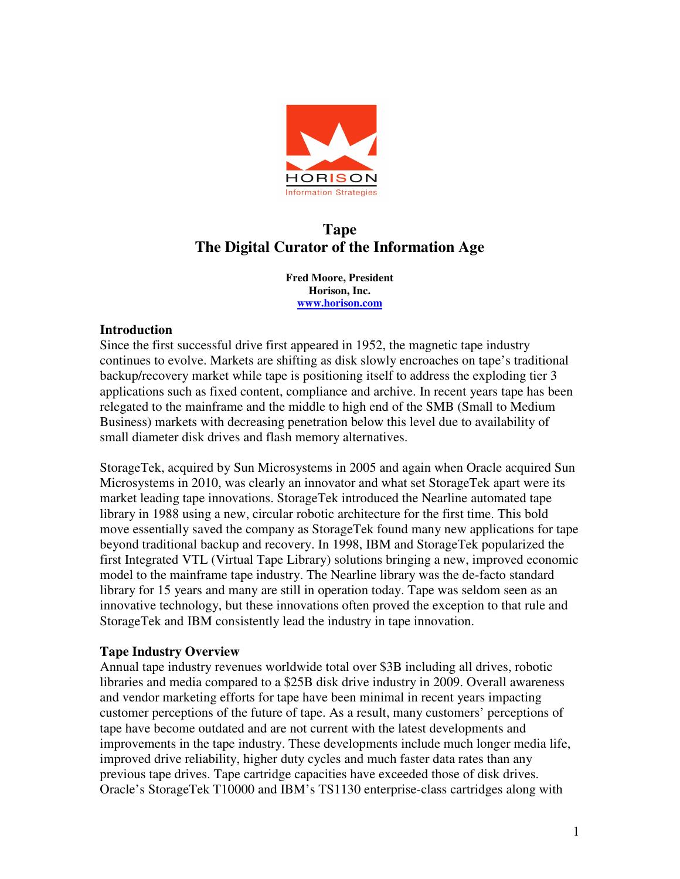

# **Tape The Digital Curator of the Information Age**

 **Fred Moore, President Horison, Inc. www.horison.com** 

# **Introduction**

 Since the first successful drive first appeared in 1952, the magnetic tape industry continues to evolve. Markets are shifting as disk slowly encroaches on tape's traditional backup/recovery market while tape is positioning itself to address the exploding tier 3 applications such as fixed content, compliance and archive. In recent years tape has been relegated to the mainframe and the middle to high end of the SMB (Small to Medium Business) markets with decreasing penetration below this level due to availability of small diameter disk drives and flash memory alternatives.

 StorageTek, acquired by Sun Microsystems in 2005 and again when Oracle acquired Sun Microsystems in 2010, was clearly an innovator and what set StorageTek apart were its market leading tape innovations. StorageTek introduced the Nearline automated tape library in 1988 using a new, circular robotic architecture for the first time. This bold move essentially saved the company as StorageTek found many new applications for tape beyond traditional backup and recovery. In 1998, IBM and StorageTek popularized the first Integrated VTL (Virtual Tape Library) solutions bringing a new, improved economic model to the mainframe tape industry. The Nearline library was the de-facto standard library for 15 years and many are still in operation today. Tape was seldom seen as an innovative technology, but these innovations often proved the exception to that rule and StorageTek and IBM consistently lead the industry in tape innovation.

# **Tape Industry Overview**

 Annual tape industry revenues worldwide total over \$3B including all drives, robotic libraries and media compared to a \$25B disk drive industry in 2009. Overall awareness and vendor marketing efforts for tape have been minimal in recent years impacting customer perceptions of the future of tape. As a result, many customers' perceptions of tape have become outdated and are not current with the latest developments and improvements in the tape industry. These developments include much longer media life, improved drive reliability, higher duty cycles and much faster data rates than any previous tape drives. Tape cartridge capacities have exceeded those of disk drives. Oracle's StorageTek T10000 and IBM's TS1130 enterprise-class cartridges along with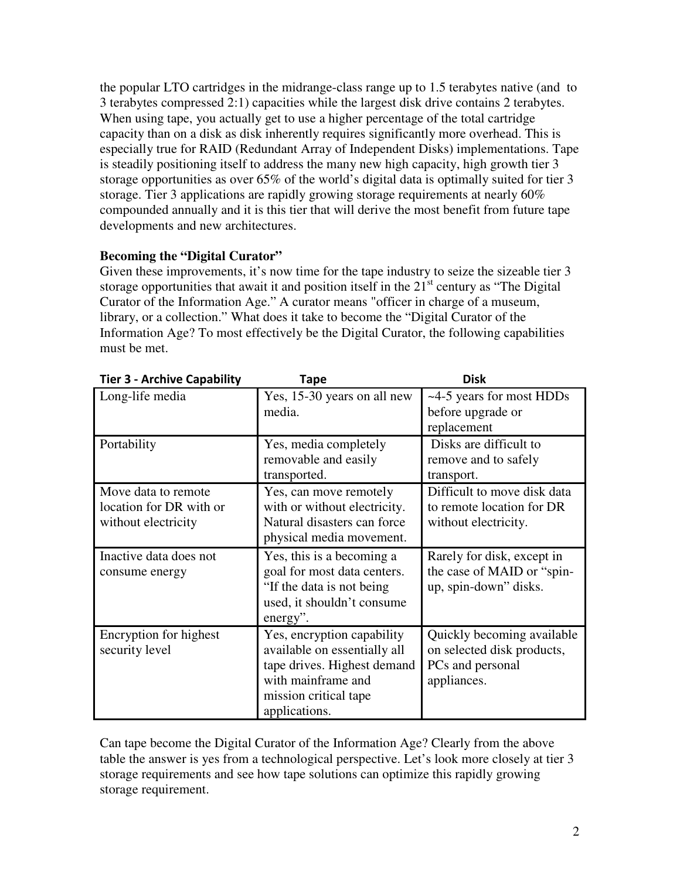the popular LTO cartridges in the midrange-class range up to 1.5 terabytes native (and to 3 terabytes compressed 2:1) capacities while the largest disk drive contains 2 terabytes. When using tape, you actually get to use a higher percentage of the total cartridge capacity than on a disk as disk inherently requires significantly more overhead. This is especially true for RAID (Redundant Array of Independent Disks) implementations. Tape is steadily positioning itself to address the many new high capacity, high growth tier 3 storage opportunities as over 65% of the world's digital data is optimally suited for tier 3 storage. Tier 3 applications are rapidly growing storage requirements at nearly 60% compounded annually and it is this tier that will derive the most benefit from future tape developments and new architectures.

# **Becoming the "Digital Curator"**

 Given these improvements, it's now time for the tape industry to seize the sizeable tier 3 storage opportunities that await it and position itself in the  $21<sup>st</sup>$  century as "The Digital Curator of the Information Age." A curator means "officer in charge of a museum, library, or a collection." What does it take to become the "Digital Curator of the Information Age? To most effectively be the Digital Curator, the following capabilities must be met.

|                                                                       | , upc                                                                                                                                                     |                                                                                             |
|-----------------------------------------------------------------------|-----------------------------------------------------------------------------------------------------------------------------------------------------------|---------------------------------------------------------------------------------------------|
| Long-life media                                                       | Yes, 15-30 years on all new<br>media.                                                                                                                     | ~4-5 years for most HDDs<br>before upgrade or<br>replacement                                |
| Portability                                                           | Yes, media completely<br>removable and easily<br>transported.                                                                                             | Disks are difficult to<br>remove and to safely<br>transport.                                |
| Move data to remote<br>location for DR with or<br>without electricity | Yes, can move remotely<br>with or without electricity.<br>Natural disasters can force<br>physical media movement.                                         | Difficult to move disk data<br>to remote location for DR<br>without electricity.            |
| Inactive data does not<br>consume energy                              | Yes, this is a becoming a<br>goal for most data centers.<br>"If the data is not being"<br>used, it shouldn't consume<br>energy".                          | Rarely for disk, except in<br>the case of MAID or "spin-<br>up, spin-down" disks.           |
| Encryption for highest<br>security level                              | Yes, encryption capability<br>available on essentially all<br>tape drives. Highest demand<br>with mainframe and<br>mission critical tape<br>applications. | Quickly becoming available<br>on selected disk products,<br>PCs and personal<br>appliances. |

| <b>Tier 3 - Archive Capability</b>  | Tape                                                                          | <b>Disk</b> |
|-------------------------------------|-------------------------------------------------------------------------------|-------------|
| $I_{\alpha}$ on $\alpha$ life modia | $\frac{1}{2}$ V <sub>22</sub> 15.20 years an all now $\frac{1}{4}$ 5 years to |             |

 Can tape become the Digital Curator of the Information Age? Clearly from the above table the answer is yes from a technological perspective. Let's look more closely at tier 3 storage requirements and see how tape solutions can optimize this rapidly growing storage requirement.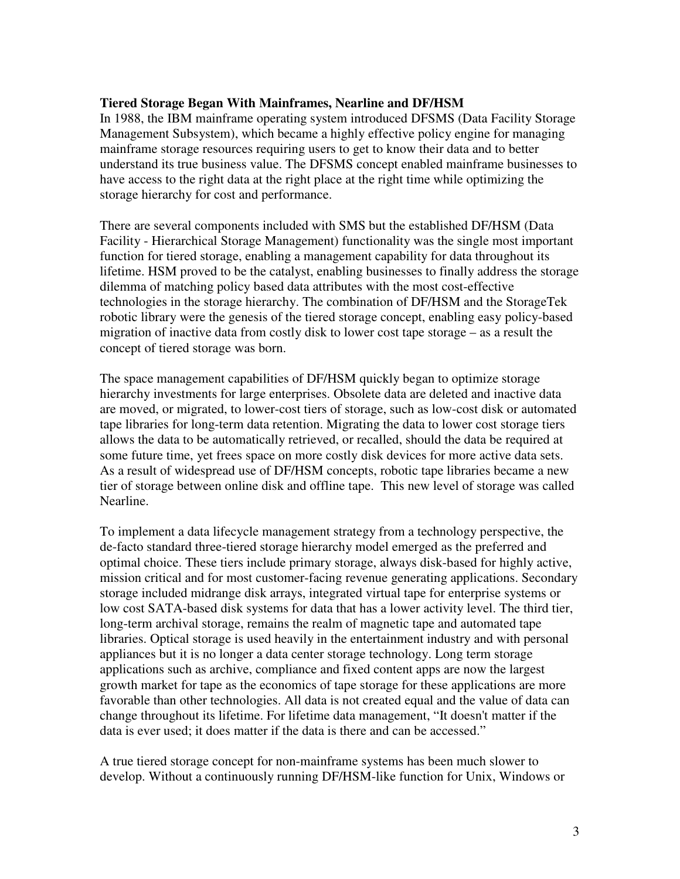#### **Tiered Storage Began With Mainframes, Nearline and DF/HSM**

 In 1988, the IBM mainframe operating system introduced DFSMS (Data Facility Storage Management Subsystem), which became a highly effective policy engine for managing mainframe storage resources requiring users to get to know their data and to better understand its true business value. The DFSMS concept enabled mainframe businesses to have access to the right data at the right place at the right time while optimizing the storage hierarchy for cost and performance.

 There are several components included with SMS but the established DF/HSM (Data Facility - Hierarchical Storage Management) functionality was the single most important function for tiered storage, enabling a management capability for data throughout its lifetime. HSM proved to be the catalyst, enabling businesses to finally address the storage dilemma of matching policy based data attributes with the most cost-effective technologies in the storage hierarchy. The combination of DF/HSM and the StorageTek robotic library were the genesis of the tiered storage concept, enabling easy policy-based migration of inactive data from costly disk to lower cost tape storage – as a result the concept of tiered storage was born.

 The space management capabilities of DF/HSM quickly began to optimize storage hierarchy investments for large enterprises. Obsolete data are deleted and inactive data are moved, or migrated, to lower-cost tiers of storage, such as low-cost disk or automated tape libraries for long-term data retention. Migrating the data to lower cost storage tiers allows the data to be automatically retrieved, or recalled, should the data be required at some future time, yet frees space on more costly disk devices for more active data sets. As a result of widespread use of DF/HSM concepts, robotic tape libraries became a new tier of storage between online disk and offline tape. This new level of storage was called Nearline.

Nearline.<br>To implement a data lifecycle management strategy from a technology perspective, the de-facto standard three-tiered storage hierarchy model emerged as the preferred and optimal choice. These tiers include primary storage, always disk-based for highly active, mission critical and for most customer-facing revenue generating applications. Secondary storage included midrange disk arrays, integrated virtual tape for enterprise systems or low cost SATA-based disk systems for data that has a lower activity level. The third tier, long-term archival storage, remains the realm of magnetic tape and automated tape libraries. Optical storage is used heavily in the entertainment industry and with personal appliances but it is no longer a data center storage technology. Long term storage applications such as archive, compliance and fixed content apps are now the largest growth market for tape as the economics of tape storage for these applications are more favorable than other technologies. All data is not created equal and the value of data can change throughout its lifetime. For lifetime data management, "It doesn't matter if the data is ever used; it does matter if the data is there and can be accessed."

 A true tiered storage concept for non-mainframe systems has been much slower to develop. Without a continuously running DF/HSM-like function for Unix, Windows or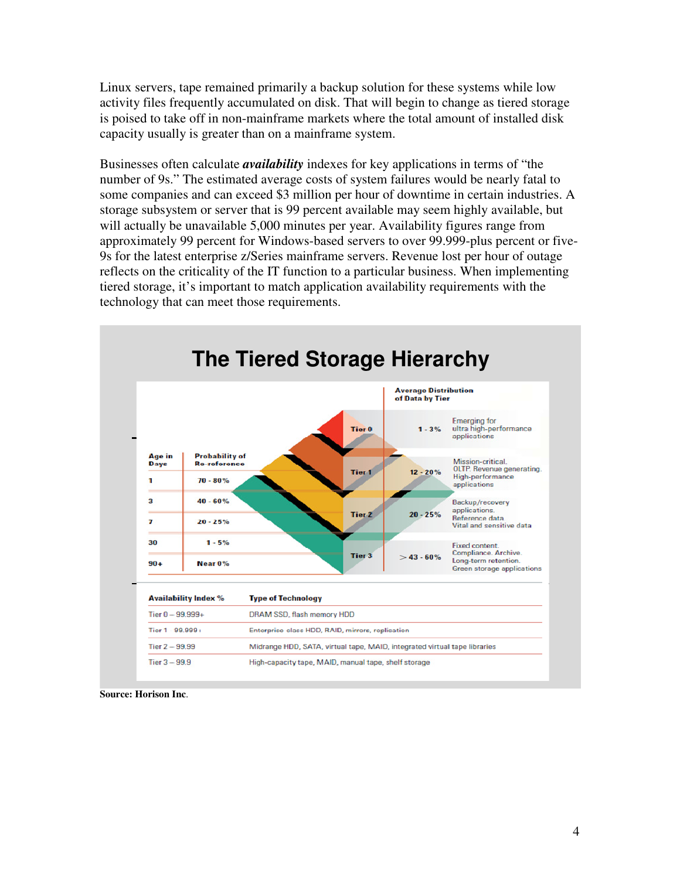Linux servers, tape remained primarily a backup solution for these systems while low activity files frequently accumulated on disk. That will begin to change as tiered storage is poised to take off in non-mainframe markets where the total amount of installed disk capacity usually is greater than on a mainframe system.

 Businesses often calculate *availability* indexes for key applications in terms of "the number of 9s." The estimated average costs of system failures would be nearly fatal to some companies and can exceed \$3 million per hour of downtime in certain industries. A storage subsystem or server that is 99 percent available may seem highly available, but will actually be unavailable 5,000 minutes per year. Availability figures range from approximately 99 percent for Windows-based servers to over 99.999-plus percent or five- 9s for the latest enterprise z/Series mainframe servers. Revenue lost per hour of outage reflects on the criticality of the IT function to a particular business. When implementing tiered storage, it's important to match application availability requirements with the technology that can meet those requirements.



 **Source: Horison Inc**.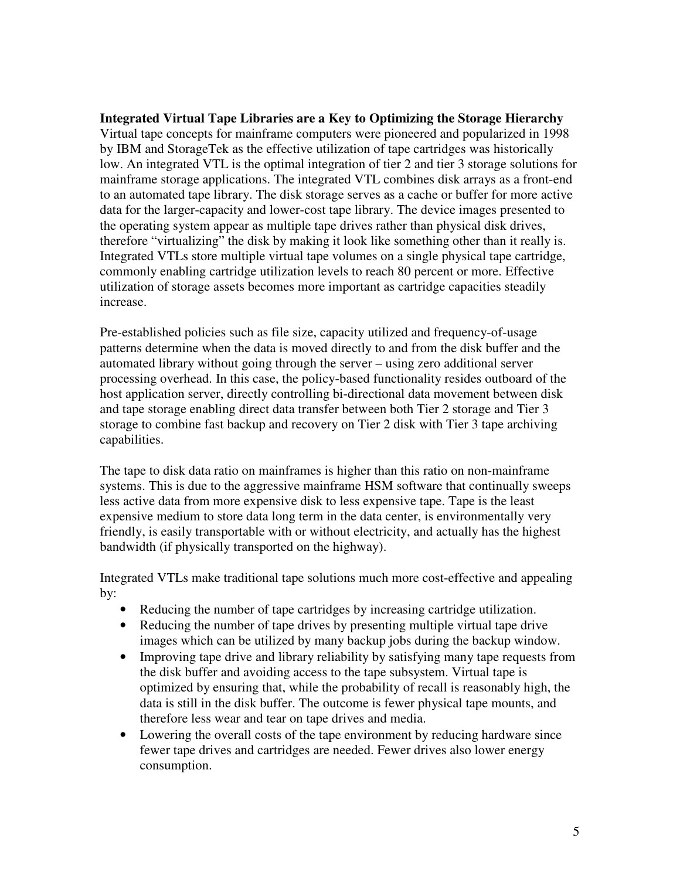**Integrated Virtual Tape Libraries are a Key to Optimizing the Storage Hierarchy**  Virtual tape concepts for mainframe computers were pioneered and popularized in 1998 by IBM and StorageTek as the effective utilization of tape cartridges was historically low. An integrated VTL is the optimal integration of tier 2 and tier 3 storage solutions for mainframe storage applications. The integrated VTL combines disk arrays as a front-end to an automated tape library. The disk storage serves as a cache or buffer for more active data for the larger-capacity and lower-cost tape library. The device images presented to the operating system appear as multiple tape drives rather than physical disk drives, therefore "virtualizing" the disk by making it look like something other than it really is. Integrated VTLs store multiple virtual tape volumes on a single physical tape cartridge, commonly enabling cartridge utilization levels to reach 80 percent or more. Effective utilization of storage assets becomes more important as cartridge capacities steadily increase.

 Pre-established policies such as file size, capacity utilized and frequency-of-usage patterns determine when the data is moved directly to and from the disk buffer and the automated library without going through the server – using zero additional server processing overhead. In this case, the policy-based functionality resides outboard of the host application server, directly controlling bi-directional data movement between disk and tape storage enabling direct data transfer between both Tier 2 storage and Tier 3 storage to combine fast backup and recovery on Tier 2 disk with Tier 3 tape archiving capabilities.

 The tape to disk data ratio on mainframes is higher than this ratio on non-mainframe systems. This is due to the aggressive mainframe HSM software that continually sweeps less active data from more expensive disk to less expensive tape. Tape is the least expensive medium to store data long term in the data center, is environmentally very friendly, is easily transportable with or without electricity, and actually has the highest bandwidth (if physically transported on the highway).

 Integrated VTLs make traditional tape solutions much more cost-effective and appealing by:

- Reducing the number of tape cartridges by increasing cartridge utilization.
- Reducing the number of tape drives by presenting multiple virtual tape drive images which can be utilized by many backup jobs during the backup window.
- Improving tape drive and library reliability by satisfying many tape requests from the disk buffer and avoiding access to the tape subsystem. Virtual tape is optimized by ensuring that, while the probability of recall is reasonably high, the data is still in the disk buffer. The outcome is fewer physical tape mounts, and therefore less wear and tear on tape drives and media.
- Lowering the overall costs of the tape environment by reducing hardware since fewer tape drives and cartridges are needed. Fewer drives also lower energy consumption.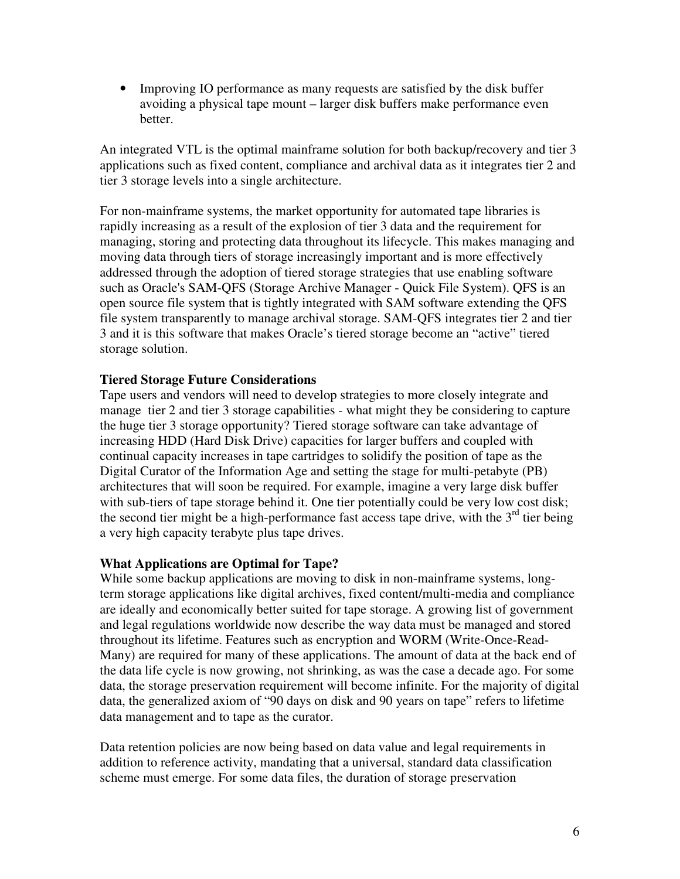• Improving IO performance as many requests are satisfied by the disk buffer avoiding a physical tape mount – larger disk buffers make performance even better.

 An integrated VTL is the optimal mainframe solution for both backup/recovery and tier 3 applications such as fixed content, compliance and archival data as it integrates tier 2 and tier 3 storage levels into a single architecture.

 For non-mainframe systems, the market opportunity for automated tape libraries is rapidly increasing as a result of the explosion of tier 3 data and the requirement for managing, storing and protecting data throughout its lifecycle. This makes managing and moving data through tiers of storage increasingly important and is more effectively addressed through the adoption of tiered storage strategies that use enabling software such as Oracle's SAM-QFS (Storage Archive Manager - Quick File System). QFS is an open source file system that is tightly integrated with SAM software extending the QFS file system transparently to manage archival storage. SAM-QFS integrates tier 2 and tier 3 and it is this software that makes Oracle's tiered storage become an "active" tiered storage solution.

# **Tiered Storage Future Considerations**

 Tape users and vendors will need to develop strategies to more closely integrate and manage tier 2 and tier 3 storage capabilities - what might they be considering to capture the huge tier 3 storage opportunity? Tiered storage software can take advantage of increasing HDD (Hard Disk Drive) capacities for larger buffers and coupled with continual capacity increases in tape cartridges to solidify the position of tape as the Digital Curator of the Information Age and setting the stage for multi-petabyte (PB) architectures that will soon be required. For example, imagine a very large disk buffer with sub-tiers of tape storage behind it. One tier potentially could be very low cost disk; the second tier might be a high-performance fast access tape drive, with the  $3<sup>rd</sup>$  tier being a very high capacity terabyte plus tape drives.

#### **What Applications are Optimal for Tape?**

 While some backup applications are moving to disk in non-mainframe systems, long- term storage applications like digital archives, fixed content/multi-media and compliance are ideally and economically better suited for tape storage. A growing list of government and legal regulations worldwide now describe the way data must be managed and stored throughout its lifetime. Features such as encryption and WORM (Write-Once-Read- Many) are required for many of these applications. The amount of data at the back end of the data life cycle is now growing, not shrinking, as was the case a decade ago. For some data, the storage preservation requirement will become infinite. For the majority of digital data, the generalized axiom of "90 days on disk and 90 years on tape" refers to lifetime data management and to tape as the curator.

 Data retention policies are now being based on data value and legal requirements in addition to reference activity, mandating that a universal, standard data classification scheme must emerge. For some data files, the duration of storage preservation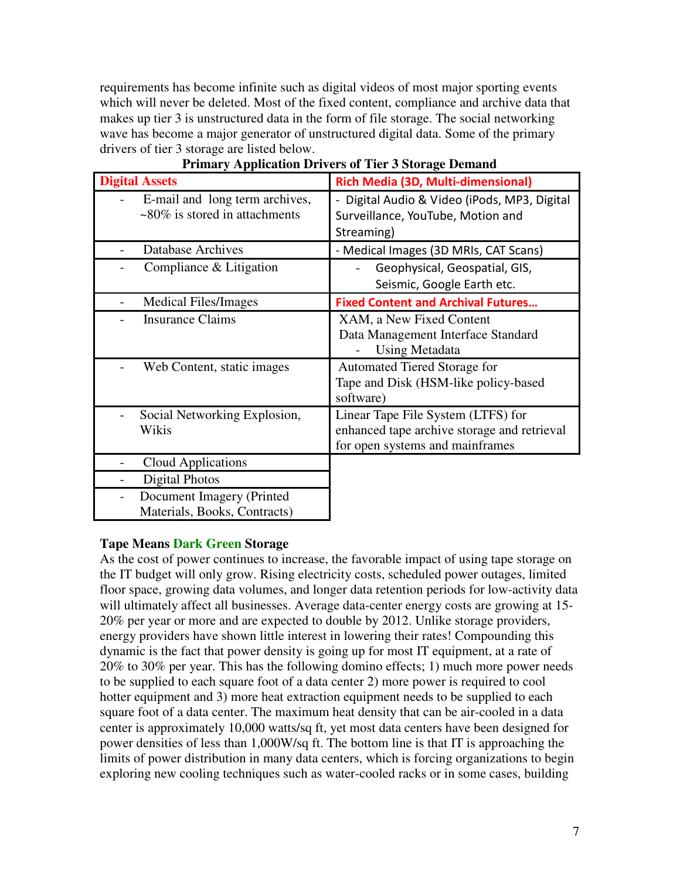requirements has become infinite such as digital videos of most major sporting events which will never be deleted. Most of the fixed content, compliance and archive data that makes up tier 3 is unstructured data in the form of file storage. The social networking wave has become a major generator of unstructured digital data. Some of the primary drivers of tier 3 storage are listed below.

| <b>Digital Assets</b>                                                     | Rich Media (3D, Multi-dimensional)                                                                                   |
|---------------------------------------------------------------------------|----------------------------------------------------------------------------------------------------------------------|
| E-mail and long term archives,<br>$\approx 80\%$ is stored in attachments | Digital Audio & Video (iPods, MP3, Digital<br>Surveillance, YouTube, Motion and<br>Streaming)                        |
| <b>Database Archives</b>                                                  | - Medical Images (3D MRIs, CAT Scans)                                                                                |
| Compliance & Litigation                                                   | Geophysical, Geospatial, GIS,<br>Seismic, Google Earth etc.                                                          |
| Medical Files/Images                                                      | <b>Fixed Content and Archival Futures</b>                                                                            |
| <b>Insurance Claims</b>                                                   | XAM, a New Fixed Content<br>Data Management Interface Standard<br><b>Using Metadata</b>                              |
| Web Content, static images                                                | Automated Tiered Storage for<br>Tape and Disk (HSM-like policy-based<br>software)                                    |
| Social Networking Explosion,<br>Wikis                                     | Linear Tape File System (LTFS) for<br>enhanced tape archive storage and retrieval<br>for open systems and mainframes |
| Cloud Applications                                                        |                                                                                                                      |
| Digital Photos                                                            |                                                                                                                      |
| Document Imagery (Printed<br>Materials, Books, Contracts)                 |                                                                                                                      |

# **Primary Application Drivers of Tier 3 Storage Demand**

#### **Tape Means Dark Green Storage**

 As the cost of power continues to increase, the favorable impact of using tape storage on the IT budget will only grow. Rising electricity costs, scheduled power outages, limited floor space, growing data volumes, and longer data retention periods for low-activity data will ultimately affect all businesses. Average data-center energy costs are growing at 15 20% per year or more and are expected to double by 2012. Unlike storage providers, energy providers have shown little interest in lowering their rates! Compounding this dynamic is the fact that power density is going up for most IT equipment, at a rate of 20% to 30% per year. This has the following domino effects; 1) much more power needs to be supplied to each square foot of a data center 2) more power is required to cool hotter equipment and 3) more heat extraction equipment needs to be supplied to each square foot of a data center. The maximum heat density that can be air-cooled in a data center is approximately 10,000 watts/sq ft, yet most data centers have been designed for power densities of less than 1,000W/sq ft. The bottom line is that IT is approaching the limits of power distribution in many data centers, which is forcing organizations to begin exploring new cooling techniques such as water-cooled racks or in some cases, building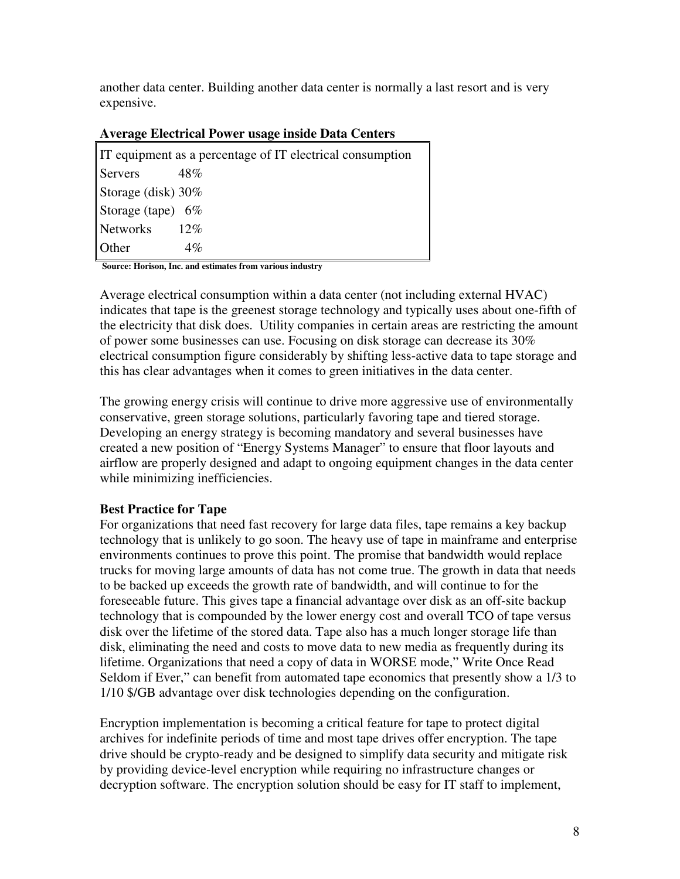another data center. Building another data center is normally a last resort and is very expensive.

#### **Average Electrical Power usage inside Data Centers**

 **Source: Horison, Inc. and estimates from various industry** 

 Average electrical consumption within a data center (not including external HVAC) indicates that tape is the greenest storage technology and typically uses about one-fifth of the electricity that disk does. Utility companies in certain areas are restricting the amount of power some businesses can use. Focusing on disk storage can decrease its 30% electrical consumption figure considerably by shifting less-active data to tape storage and this has clear advantages when it comes to green initiatives in the data center.

 The growing energy crisis will continue to drive more aggressive use of environmentally conservative, green storage solutions, particularly favoring tape and tiered storage. Developing an energy strategy is becoming mandatory and several businesses have created a new position of "Energy Systems Manager" to ensure that floor layouts and while minimizing inefficiencies. airflow are properly designed and adapt to ongoing equipment changes in the data center

# **Best Practice for Tape**

 For organizations that need fast recovery for large data files, tape remains a key backup technology that is unlikely to go soon. The heavy use of tape in mainframe and enterprise environments continues to prove this point. The promise that bandwidth would replace trucks for moving large amounts of data has not come true. The growth in data that needs to be backed up exceeds the growth rate of bandwidth, and will continue to for the foreseeable future. This gives tape a financial advantage over disk as an off-site backup technology that is compounded by the lower energy cost and overall TCO of tape versus disk over the lifetime of the stored data. Tape also has a much longer storage life than disk, eliminating the need and costs to move data to new media as frequently during its lifetime. Organizations that need a copy of data in WORSE mode," Write Once Read Seldom if Ever," can benefit from automated tape economics that presently show a 1/3 to 1/10 \$/GB advantage over disk technologies depending on the configuration.

 Encryption implementation is becoming a critical feature for tape to protect digital archives for indefinite periods of time and most tape drives offer encryption. The tape drive should be crypto-ready and be designed to simplify data security and mitigate risk by providing device-level encryption while requiring no infrastructure changes or decryption software. The encryption solution should be easy for IT staff to implement,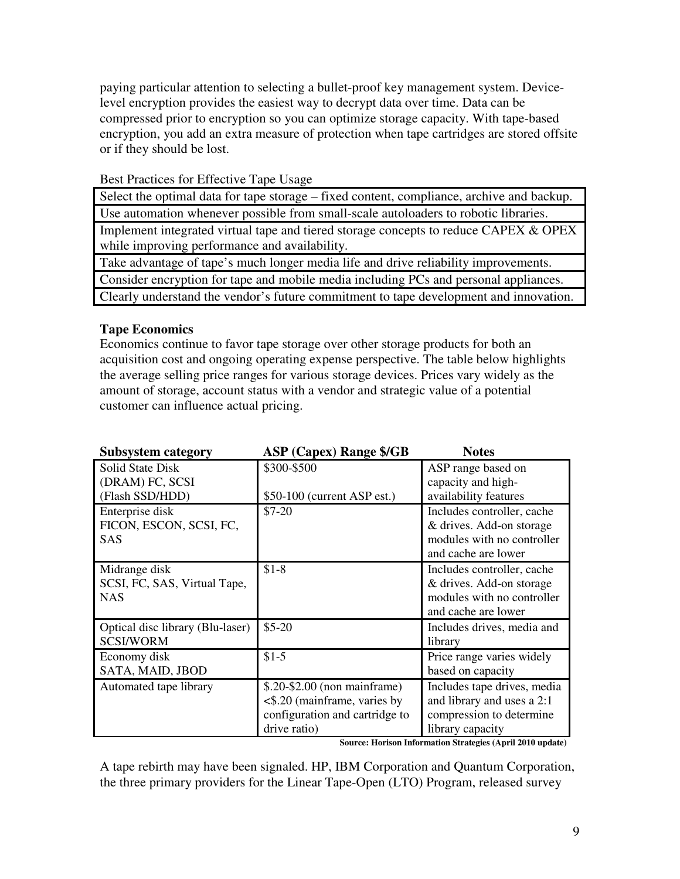paying particular attention to selecting a bullet-proof key management system. Device- level encryption provides the easiest way to decrypt data over time. Data can be compressed prior to encryption so you can optimize storage capacity. With tape-based encryption, you add an extra measure of protection when tape cartridges are stored offsite or if they should be lost.

# Best Practices for Effective Tape Usage

 Select the optimal data for tape storage – fixed content, compliance, archive and backup. Use automation whenever possible from small-scale autoloaders to robotic libraries. Implement integrated virtual tape and tiered storage concepts to reduce CAPEX & OPEX while improving performance and availability.

 Take advantage of tape's much longer media life and drive reliability improvements. Consider encryption for tape and mobile media including PCs and personal appliances. Clearly understand the vendor's future commitment to tape development and innovation.

# **Tape Economics**

 Economics continue to favor tape storage over other storage products for both an acquisition cost and ongoing operating expense perspective. The table below highlights the average selling price ranges for various storage devices. Prices vary widely as the amount of storage, account status with a vendor and strategic value of a potential customer can influence actual pricing.

| <b>Subsystem category</b>                                  | <b>ASP (Capex) Range \$/GB</b>     | <b>Notes</b>                |
|------------------------------------------------------------|------------------------------------|-----------------------------|
| Solid State Disk                                           | \$300-\$500                        | ASP range based on          |
| (DRAM) FC, SCSI                                            |                                    | capacity and high-          |
| (Flash SSD/HDD)                                            | $$50-100$ (current ASP est.)       | availability features       |
| Enterprise disk                                            | $$7-20$                            | Includes controller, cache  |
| FICON, ESCON, SCSI, FC,                                    |                                    | & drives. Add-on storage    |
| SAS                                                        |                                    | modules with no controller  |
|                                                            |                                    | and cache are lower         |
| Midrange disk                                              | $$1-8$                             | Includes controller, cache  |
| SCSI, FC, SAS, Virtual Tape,                               |                                    | & drives. Add-on storage    |
| <b>NAS</b>                                                 |                                    | modules with no controller  |
|                                                            |                                    | and cache are lower         |
| Optical disc library (Blu-laser)                           | $$5-20$                            | Includes drives, media and  |
| <b>SCSI/WORM</b>                                           |                                    | library                     |
| Economy disk                                               | $$1-5$                             | Price range varies widely   |
| SATA, MAID, JBOD                                           |                                    | based on capacity           |
| Automated tape library                                     | \$.20-\$2.00 (non mainframe)       | Includes tape drives, media |
|                                                            | $\leq$ \$.20 (mainframe, varies by | and library and uses a 2:1  |
|                                                            | configuration and cartridge to     | compression to determine    |
|                                                            | drive ratio)                       | library capacity            |
| Source: Horison Information Strategies (April 2010 update) |                                    |                             |

 A tape rebirth may have been signaled. HP, IBM Corporation and Quantum Corporation, the three primary providers for the Linear Tape-Open (LTO) Program, released survey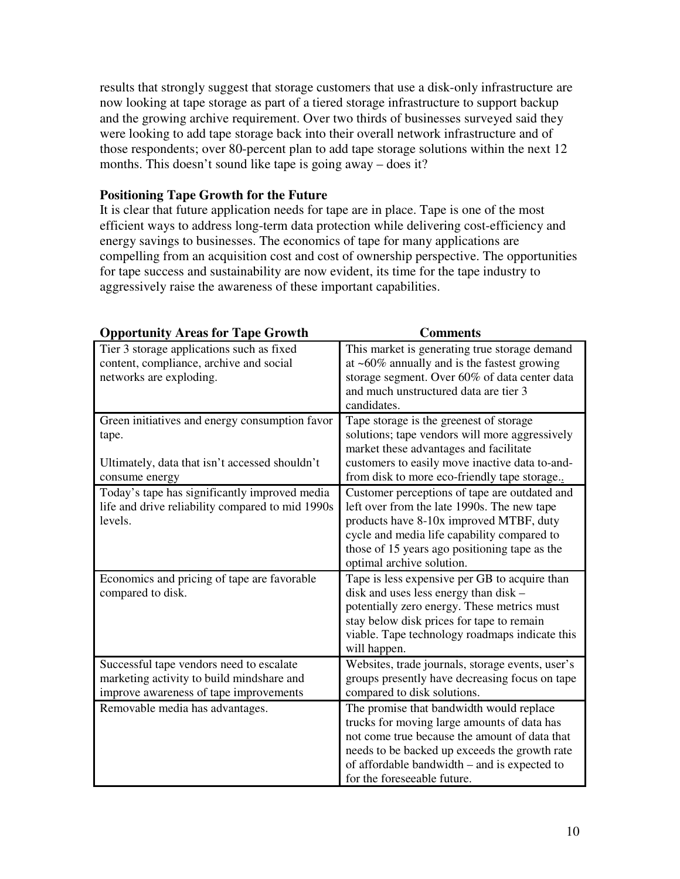results that strongly suggest that storage customers that use a disk-only infrastructure are now looking at tape storage as part of a tiered storage infrastructure to support backup and the growing archive requirement. Over two thirds of businesses surveyed said they were looking to add tape storage back into their overall network infrastructure and of those respondents; over 80-percent plan to add tape storage solutions within the next 12 months. This doesn't sound like tape is going away – does it?

# **Positioning Tape Growth for the Future**

 It is clear that future application needs for tape are in place. Tape is one of the most efficient ways to address long-term data protection while delivering cost-efficiency and energy savings to businesses. The economics of tape for many applications are compelling from an acquisition cost and cost of ownership perspective. The opportunities for tape success and sustainability are now evident, its time for the tape industry to aggressively raise the awareness of these important capabilities.

| <b>Opportunity Areas for Tape Growth</b>                                             | <b>Comments</b>                                                                                 |
|--------------------------------------------------------------------------------------|-------------------------------------------------------------------------------------------------|
| Tier 3 storage applications such as fixed<br>content, compliance, archive and social | This market is generating true storage demand<br>at $~60\%$ annually and is the fastest growing |
| networks are exploding.                                                              | storage segment. Over 60% of data center data<br>and much unstructured data are tier 3          |
|                                                                                      | candidates.                                                                                     |
| Green initiatives and energy consumption favor<br>tape.                              | Tape storage is the greenest of storage<br>solutions; tape vendors will more aggressively       |
|                                                                                      | market these advantages and facilitate                                                          |
| Ultimately, data that isn't accessed shouldn't                                       | customers to easily move inactive data to-and-                                                  |
| consume energy                                                                       | from disk to more eco-friendly tape storage                                                     |
| Today's tape has significantly improved media                                        | Customer perceptions of tape are outdated and                                                   |
| life and drive reliability compared to mid 1990s<br>levels.                          | left over from the late 1990s. The new tape                                                     |
|                                                                                      | products have 8-10x improved MTBF, duty<br>cycle and media life capability compared to          |
|                                                                                      | those of 15 years ago positioning tape as the                                                   |
|                                                                                      | optimal archive solution.                                                                       |
| Economics and pricing of tape are favorable                                          | Tape is less expensive per GB to acquire than                                                   |
| compared to disk.                                                                    | disk and uses less energy than disk –                                                           |
|                                                                                      | potentially zero energy. These metrics must                                                     |
|                                                                                      | stay below disk prices for tape to remain<br>viable. Tape technology roadmaps indicate this     |
|                                                                                      | will happen.                                                                                    |
| Successful tape vendors need to escalate                                             | Websites, trade journals, storage events, user's                                                |
| marketing activity to build mindshare and                                            | groups presently have decreasing focus on tape                                                  |
| improve awareness of tape improvements                                               | compared to disk solutions.                                                                     |
| Removable media has advantages.                                                      | The promise that bandwidth would replace                                                        |
|                                                                                      | trucks for moving large amounts of data has<br>not come true because the amount of data that    |
|                                                                                      | needs to be backed up exceeds the growth rate                                                   |
|                                                                                      | of affordable bandwidth – and is expected to                                                    |
|                                                                                      | for the foreseeable future.                                                                     |